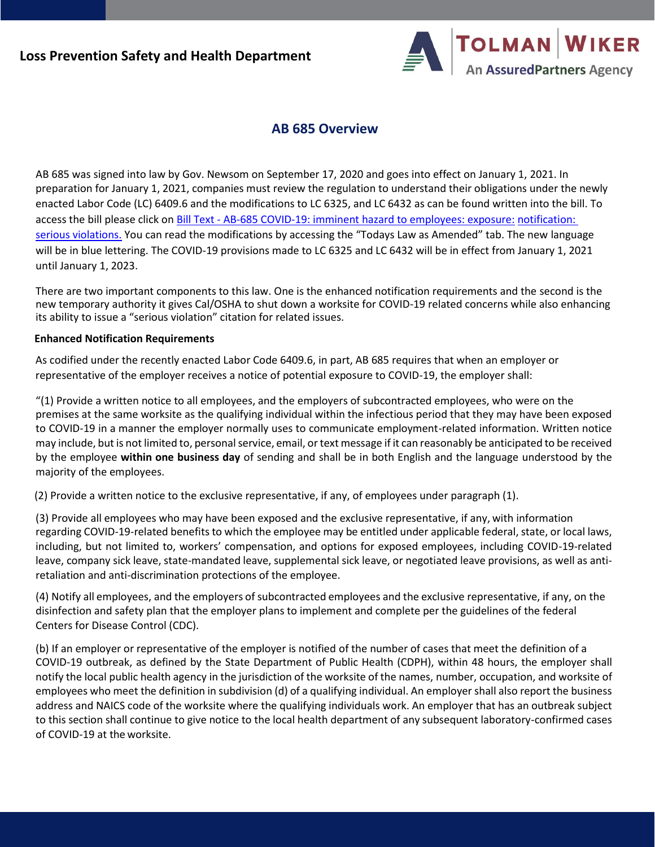

## **AB 685 Overview**

AB 685 was signed into law by Gov. Newsom on September 17, 2020 and goes into effect on January 1, 2021. In preparation for January 1, 2021, companies must review the regulation to understand their obligations under the newly enacted Labor Code (LC) 6409.6 and the modifications to LC 6325, and LC 6432 as can be found written into the bill. To access the bill please click on Bill Text - [AB-685 COVID-19: imminent hazard to employees: exposure:](https://leginfo.legislature.ca.gov/faces/billTextClient.xhtml?bill_id=201920200AB685) [notification:](https://leginfo.legislature.ca.gov/faces/billTextClient.xhtml?bill_id=201920200AB685)  [serious violations.](https://leginfo.legislature.ca.gov/faces/billTextClient.xhtml?bill_id=201920200AB685) You can read the modifications by accessing the "Todays Law as Amended" tab. The new language will be in blue lettering. The COVID-19 provisions made to LC 6325 and LC 6432 will be in effect from January 1, 2021 until January 1, 2023.

There are two important components to this law. One is the enhanced notification requirements and the second is the new temporary authority it gives Cal/OSHA to shut down a worksite for COVID-19 related concerns while also enhancing its ability to issue a "serious violation" citation for related issues.

## **Enhanced Notification Requirements**

As codified under the recently enacted Labor Code 6409.6, in part, AB 685 requires that when an employer or representative of the employer receives a notice of potential exposure to COVID-19, the employer shall:

"(1) Provide a written notice to all employees, and the employers of subcontracted employees, who were on the premises at the same worksite as the qualifying individual within the infectious period that they may have been exposed to COVID-19 in a manner the employer normally uses to communicate employment-related information. Written notice may include, but is not limited to, personal service, email, or text message if it can reasonably be anticipated to be received by the employee **within one business day** of sending and shall be in both English and the language understood by the majority of the employees.

(2) Provide a written notice to the exclusive representative, if any, of employees under paragraph (1).

(3) Provide all employees who may have been exposed and the exclusive representative, if any, with information regarding COVID-19-related benefits to which the employee may be entitled under applicable federal, state, or local laws, including, but not limited to, workers' compensation, and options for exposed employees, including COVID-19-related leave, company sick leave, state-mandated leave, supplemental sick leave, or negotiated leave provisions, as well as antiretaliation and anti-discrimination protections of the employee.

(4) Notify all employees, and the employers ofsubcontracted employees and the exclusive representative, if any, on the disinfection and safety plan that the employer plans to implement and complete per the guidelines of the federal Centers for Disease Control (CDC).

(b) If an employer or representative of the employer is notified of the number of cases that meet the definition of a COVID-19 outbreak, as defined by the State Department of Public Health (CDPH), within 48 hours, the employer shall notify the local public health agency in the jurisdiction of the worksite of the names, number, occupation, and worksite of employees who meet the definition in subdivision (d) of a qualifying individual. An employer shall also report the business address and NAICS code of the worksite where the qualifying individuals work. An employer that has an outbreak subject to this section shall continue to give notice to the local health department of any subsequent laboratory-confirmed cases of COVID-19 at the worksite.